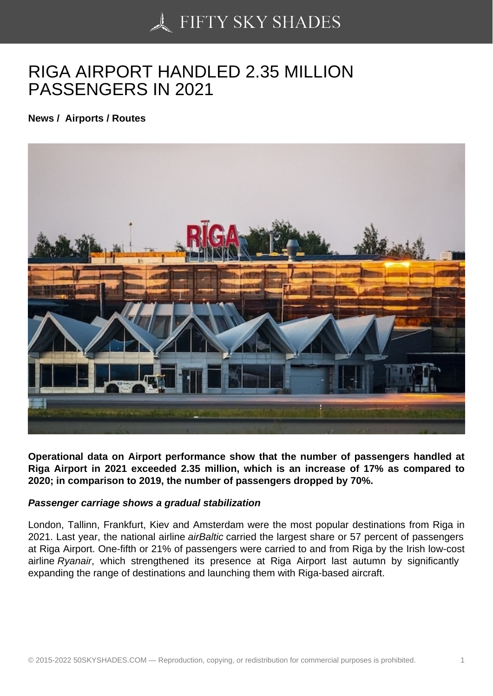## [RIGA AIRPORT HAND](https://50skyshades.com)LED 2.35 MILLION PASSENGERS IN 2021

News / Airports / Routes

Operational data on Airport performance show that the number of passengers handled at Riga Airport in 2021 exceeded 2.35 million, which is an increase of 17% as compared to 2020; in comparison to 2019, the number of passengers dropped by 70%.

Passenger carriage shows a gradual stabilization

London, Tallinn, Frankfurt, Kiev and Amsterdam were the most popular destinations from Riga in 2021. Last year, the national airline airBaltic carried the largest share or 57 percent of passengers at Riga Airport. One-fifth or 21% of passengers were carried to and from Riga by the Irish low-cost airline Ryanair, which strengthened its presence at Riga Airport last autumn by significantly expanding the range of destinations and launching them with Riga-based aircraft.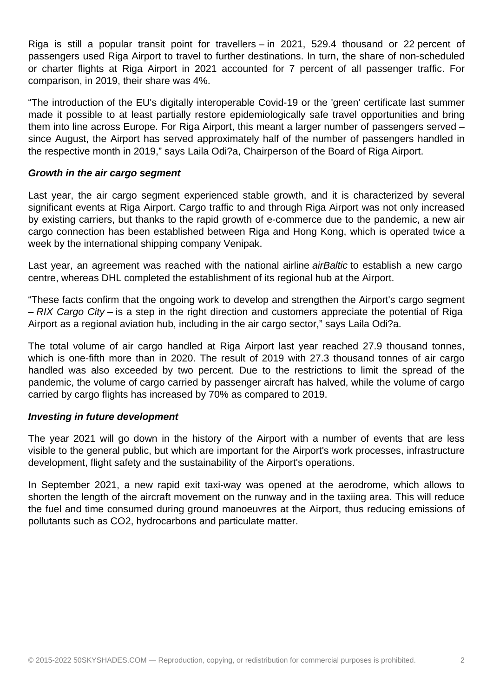Riga is still a popular transit point for travellers – in 2021, 529.4 thousand or 22 percent of passengers used Riga Airport to travel to further destinations. In turn, the share of non-scheduled or charter flights at Riga Airport in 2021 accounted for 7 percent of all passenger traffic. For comparison, in 2019, their share was 4%.

"The introduction of the EU's digitally interoperable Covid-19 or the 'green' certificate last summer made it possible to at least partially restore epidemiologically safe travel opportunities and bring them into line across Europe. For Riga Airport, this meant a larger number of passengers served – since August, the Airport has served approximately half of the number of passengers handled in the respective month in 2019," says Laila Odi?a, Chairperson of the Board of Riga Airport.

## **Growth in the air cargo segment**

Last year, the air cargo segment experienced stable growth, and it is characterized by several significant events at Riga Airport. Cargo traffic to and through Riga Airport was not only increased by existing carriers, but thanks to the rapid growth of e-commerce due to the pandemic, a new air cargo connection has been established between Riga and Hong Kong, which is operated twice a week by the international shipping company Venipak.

Last year, an agreement was reached with the national airline airBaltic to establish a new cargo centre, whereas DHL completed the establishment of its regional hub at the Airport.

"These facts confirm that the ongoing work to develop and strengthen the Airport's cargo segment  $- RIX$  Cargo City – is a step in the right direction and customers appreciate the potential of Riga Airport as a regional aviation hub, including in the air cargo sector," says Laila Odi?a.

The total volume of air cargo handled at Riga Airport last year reached 27.9 thousand tonnes, which is one-fifth more than in 2020. The result of 2019 with 27.3 thousand tonnes of air cargo handled was also exceeded by two percent. Due to the restrictions to limit the spread of the pandemic, the volume of cargo carried by passenger aircraft has halved, while the volume of cargo carried by cargo flights has increased by 70% as compared to 2019.

## **Investing in future development**

The year 2021 will go down in the history of the Airport with a number of events that are less visible to the general public, but which are important for the Airport's work processes, infrastructure development, flight safety and the sustainability of the Airport's operations.

In September 2021, a new rapid exit taxi-way was opened at the aerodrome, which allows to shorten the length of the aircraft movement on the runway and in the taxiing area. This will reduce the fuel and time consumed during ground manoeuvres at the Airport, thus reducing emissions of pollutants such as CO2, hydrocarbons and particulate matter.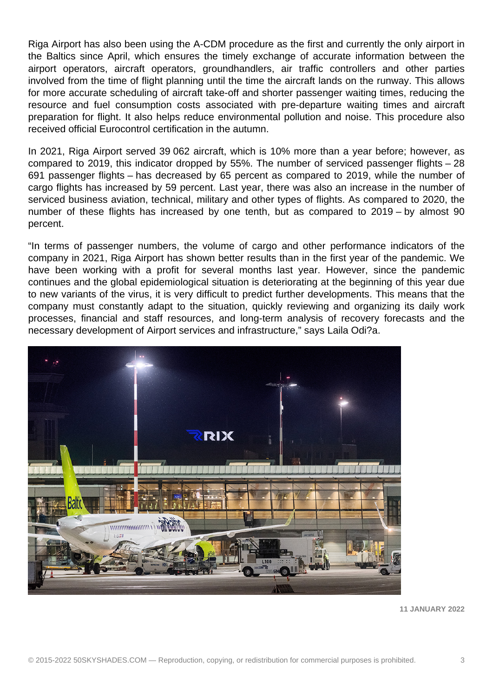Riga Airport has also been using the A-CDM procedure as the first and currently the only airport in the Baltics since April, which ensures the timely exchange of accurate information between the airport operators, aircraft operators, groundhandlers, air traffic controllers and other parties involved from the time of flight planning until the time the aircraft lands on the runway. This allows for more accurate scheduling of aircraft take-off and shorter passenger waiting times, reducing the resource and fuel consumption costs associated with pre-departure waiting times and aircraft preparation for flight. It also helps reduce environmental pollution and noise. This procedure also received official Eurocontrol certification in the autumn.

In 2021, Riga Airport served 39 062 aircraft, which is 10% more than a year before; however, as compared to 2019, this indicator dropped by 55%. The number of serviced passenger flights – 28 691 passenger flights – has decreased by 65 percent as compared to 2019, while the number of cargo flights has increased by 59 percent. Last year, there was also an increase in the number of serviced business aviation, technical, military and other types of flights. As compared to 2020, the number of these flights has increased by one tenth, but as compared to 2019 – by almost 90 percent.

"In terms of passenger numbers, the volume of cargo and other performance indicators of the company in 2021, Riga Airport has shown better results than in the first year of the pandemic. We have been working with a profit for several months last year. However, since the pandemic continues and the global epidemiological situation is deteriorating at the beginning of this year due to new variants of the virus, it is very difficult to predict further developments. This means that the company must constantly adapt to the situation, quickly reviewing and organizing its daily work processes, financial and staff resources, and long-term analysis of recovery forecasts and the necessary development of Airport services and infrastructure," says Laila Odi?a.



**11 JANUARY 2022**